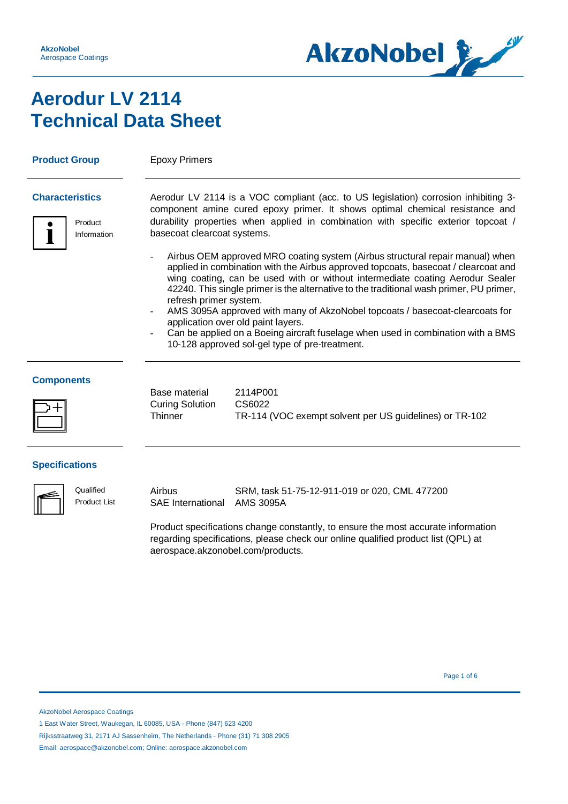

# **Aerodur LV 2114 Technical Data Sheet**

**Product Group** Epoxy Primers



**Characteristics** Aerodur LV 2114 is a VOC compliant (acc. to US legislation) corrosion inhibiting 3 component amine cured epoxy primer. It shows optimal chemical resistance and durability properties when applied in combination with specific exterior topcoat / basecoat clearcoat systems.

- Airbus OEM approved MRO coating system (Airbus structural repair manual) when applied in combination with the Airbus approved topcoats, basecoat / clearcoat and wing coating, can be used with or without intermediate coating Aerodur Sealer 42240. This single primer is the alternative to the traditional wash primer, PU primer, refresh primer system.
- AMS 3095A approved with many of AkzoNobel topcoats / basecoat-clearcoats for application over old paint layers.
- Can be applied on a Boeing aircraft fuselage when used in combination with a BMS 10-128 approved sol-gel type of pre-treatment.

### **Components**



Base material Curing Solution **Thinner** 

2114P001 CS6022 TR-114 (VOC exempt solvent per US guidelines) or TR-102

### **Specifications**

**Qualified** Product List Airbus SAE International SRM, task 51-75-12-911-019 or 020, CML 477200 AMS 3095A

Product specifications change constantly, to ensure the most accurate information regarding specifications, please check our online qualified product list (QPL) at aerospace.akzonobel.com/products.

Page 1 of 6  $\sim$  9  $\sim$  9  $\sim$  9  $\sim$  9  $\sim$  9  $\sim$  9  $\sim$  9  $\sim$  9  $\sim$  9  $\sim$  9  $\sim$  9  $\sim$  9  $\sim$  9  $\sim$  9  $\sim$  9  $\sim$  9  $\sim$  9  $\sim$  9  $\sim$  9  $\sim$  9  $\sim$  9  $\sim$  9  $\sim$  9  $\sim$  9  $\sim$  9  $\sim$  9  $\sim$  9  $\sim$  9  $\sim$  9  $\sim$  9

AkzoNobel Aerospace Coatings

1 East Water Street, Waukegan, IL 60085, USA - Phone (847) 623 4200

Rijksstraatweg 31, 2171 AJ Sassenheim, The Netherlands - Phone (31) 71 308 2905

Email: aerospace@akzonobel.com; Online: aerospace.akzonobel.com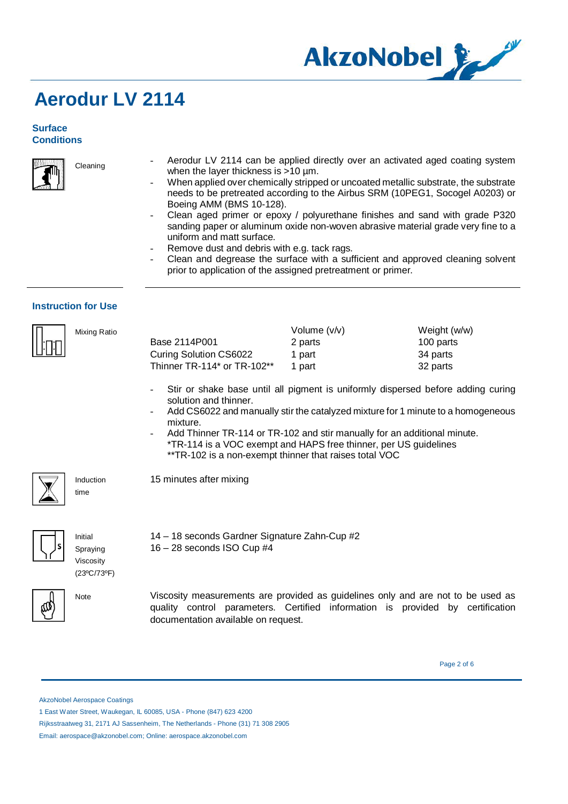

### **Surface Conditions**



Cleaning

- Aerodur LV 2114 can be applied directly over an activated aged coating system when the layer thickness is >10 µm.
- When applied over chemically stripped or uncoated metallic substrate, the substrate needs to be pretreated according to the Airbus SRM (10PEG1, Socogel A0203) or Boeing AMM (BMS 10-128).
- Clean aged primer or epoxy / polyurethane finishes and sand with grade P320 sanding paper or aluminum oxide non-woven abrasive material grade very fine to a uniform and matt surface.
- Remove dust and debris with e.g. tack rags.
- Clean and degrease the surface with a sufficient and approved cleaning solvent prior to application of the assigned pretreatment or primer.

### **Instruction for Use**

| Mixing Ratio |                             | Volume $(v/v)$ | Weight (w/w) |
|--------------|-----------------------------|----------------|--------------|
|              | Base 2114P001               | 2 parts        | 100 parts    |
|              | Curing Solution CS6022      | 1 part         | 34 parts     |
|              | Thinner TR-114* or TR-102** | part           | 32 parts     |

14 – 18 seconds Gardner Signature Zahn-Cup #2

- Stir or shake base until all pigment is uniformly dispersed before adding curing solution and thinner.
- Add CS6022 and manually stir the catalyzed mixture for 1 minute to a homogeneous mixture.
- Add Thinner TR-114 or TR-102 and stir manually for an additional minute. \*TR-114 is a VOC exempt and HAPS free thinner, per US guidelines \*\*TR-102 is a non-exempt thinner that raises total VOC
- 15 minutes after mixing

16 – 28 seconds ISO Cup #4



Initial Spraying

Viscosity (23ºC/73ºF)

Induction time



Note Viscosity measurements are provided as guidelines only and are not to be used as quality control parameters. Certified information is provided by certification documentation available on request.

Page 2 of 6

AkzoNobel Aerospace Coatings

 <sup>1</sup> East Water Street, Waukegan, IL 60085, USA - Phone (847) 623 4200

Rijksstraatweg 31, 2171 AJ Sassenheim, The Netherlands - Phone (31) 71 308 2905

Email: aerospace@akzonobel.com; Online: aerospace.akzonobel.com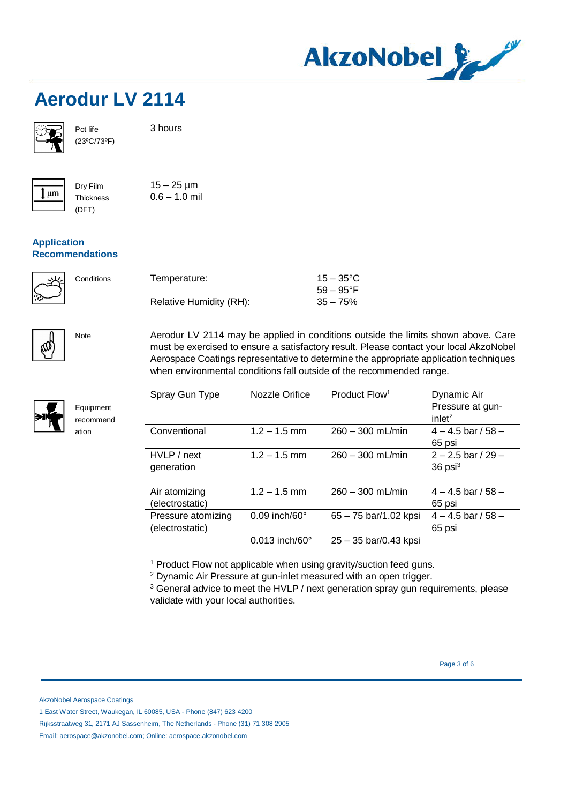

Pot life (23ºC/73ºF)

Dry Film **Thickness** (DFT)



3 hours

 $15 - 25 \mu m$  $0.6 - 1.0$  mil

### **Application Recommendations**



Equipment recommend ation



Conditions Temperature: Relative Humidity (RH):  $15 - 35$ °C 59 – 95°F  $35 - 75%$ 

Note Aerodur LV 2114 may be applied in conditions outside the limits shown above. Care must be exercised to ensure a satisfactory result. Please contact your local AkzoNobel Aerospace Coatings representative to determine the appropriate application techniques when environmental conditions fall outside of the recommended range.

| Spray Gun Type                        | Nozzle Orifice            | Product Flow <sup>1</sup> | Dynamic Air<br>Pressure at gun-<br>inlet <sup>2</sup> |
|---------------------------------------|---------------------------|---------------------------|-------------------------------------------------------|
| Conventional                          | $1.2 - 1.5$ mm            | $260 - 300$ mL/min        | $4 - 4.5$ bar / 58 $-$<br>65 psi                      |
| HVLP / next<br>generation             | $1.2 - 1.5$ mm            | $260 - 300$ mL/min        | $2 - 2.5$ bar / 29 $-$<br>$36$ psi <sup>3</sup>       |
| Air atomizing<br>(electrostatic)      | $1.2 - 1.5$ mm            | $260 - 300$ mL/min        | $4 - 4.5$ bar / 58 $-$<br>65 psi                      |
| Pressure atomizing<br>(electrostatic) | $0.09$ inch/60 $^{\circ}$ | 65 - 75 bar/1.02 kpsi     | $4 - 4.5$ bar / 58 $-$<br>65 psi                      |
|                                       | 0.013 inch/60°            | $25 - 35$ bar/0.43 kpsi   |                                                       |

<sup>1</sup> Product Flow not applicable when using gravity/suction feed guns.

<sup>2</sup> Dynamic Air Pressure at gun-inlet measured with an open trigger.

<sup>3</sup> General advice to meet the HVLP / next generation spray gun requirements, please validate with your local authorities.

Page 3 of 6

AkzoNobel Aerospace Coatings

Rijksstraatweg 31, 2171 AJ Sassenheim, The Netherlands - Phone (31) 71 308 2905

Email: aerospace@akzonobel.com; Online: aerospace.akzonobel.com

 <sup>1</sup> East Water Street, Waukegan, IL 60085, USA - Phone (847) 623 4200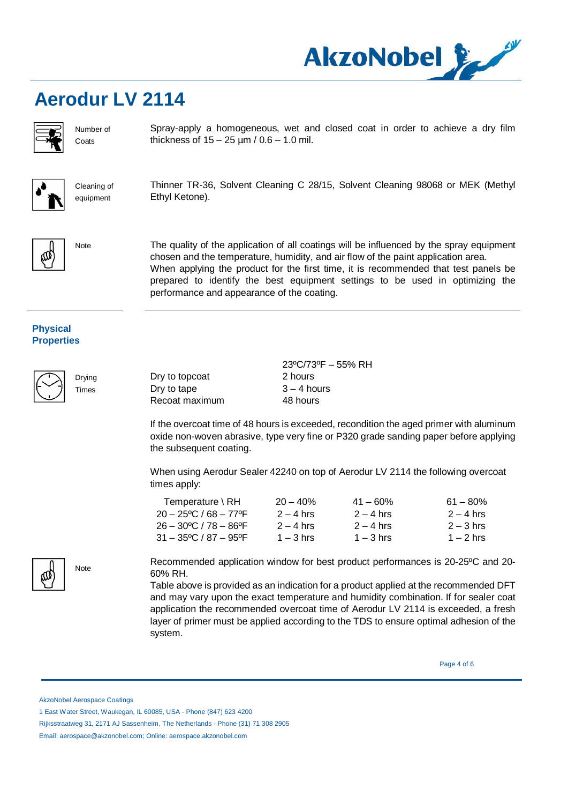

Number of **Coats** 

Cleaning of equipment

Spray-apply a homogeneous, wet and closed coat in order to achieve a dry film thickness of  $15 - 25 \mu m / 0.6 - 1.0 \text{ mil.}$ 



Thinner TR-36, Solvent Cleaning C 28/15, Solvent Cleaning 98068 or MEK (Methyl Ethyl Ketone).



Note The quality of the application of all coatings will be influenced by the spray equipment chosen and the temperature, humidity, and air flow of the paint application area. When applying the product for the first time, it is recommended that test panels be prepared to identify the best equipment settings to be used in optimizing the performance and appearance of the coating.

### **Physical Properties**



Drying Times

Dry to topcoat Dry to tape Recoat maximum 23ºC/73ºF – 55% RH 2 hours  $3 - 4$  hours 48 hours

If the overcoat time of 48 hours is exceeded, recondition the aged primer with aluminum oxide non-woven abrasive, type very fine or P320 grade sanding paper before applying the subsequent coating.

When using Aerodur Sealer 42240 on top of Aerodur LV 2114 the following overcoat times apply:

| $20 - 40\%$ | $41 - 60\%$ | $61 - 80\%$ |
|-------------|-------------|-------------|
| $2 - 4$ hrs | $2 - 4$ hrs | $2 - 4$ hrs |
| $2 - 4$ hrs | $2 - 4$ hrs | $2 - 3$ hrs |
| $1 - 3$ hrs | $1 - 3$ hrs | $1 - 2$ hrs |
|             |             |             |

Recommended application window for best product performances is 20-25ºC and 20- 60% RH.

Table above is provided as an indication for a product applied at the recommended DFT and may vary upon the exact temperature and humidity combination. If for sealer coat application the recommended overcoat time of Aerodur LV 2114 is exceeded, a fresh layer of primer must be applied according to the TDS to ensure optimal adhesion of the system.

Page 4 of 6

AkzoNobel Aerospace Coatings

Note

Rijksstraatweg 31, 2171 AJ Sassenheim, The Netherlands - Phone (31) 71 308 2905



 <sup>1</sup> East Water Street, Waukegan, IL 60085, USA - Phone (847) 623 4200

Email: aerospace@akzonobel.com; Online: aerospace.akzonobel.com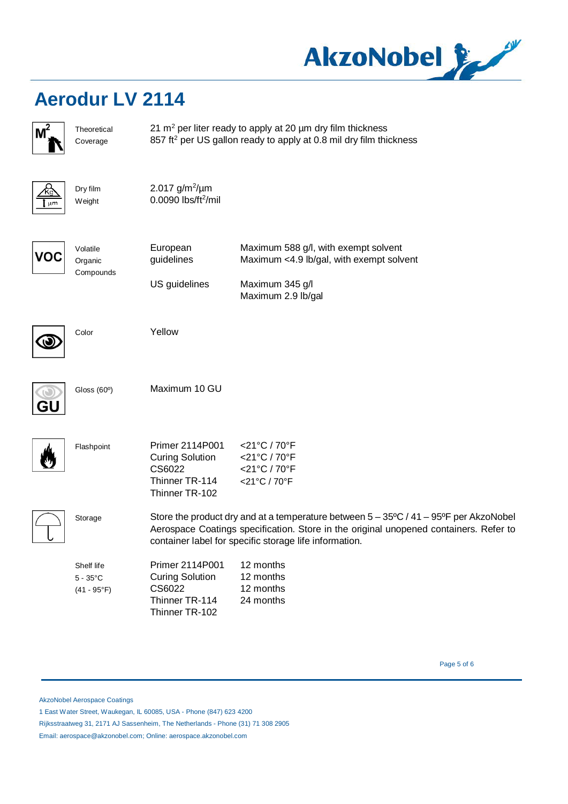

| M          | Theoretical<br>Coverage                                  | 21 $m2$ per liter ready to apply at 20 $\mu$ m dry film thickness<br>857 ft <sup>2</sup> per US gallon ready to apply at 0.8 mil dry film thickness                                                                                                      |                                                                                                                           |  |
|------------|----------------------------------------------------------|----------------------------------------------------------------------------------------------------------------------------------------------------------------------------------------------------------------------------------------------------------|---------------------------------------------------------------------------------------------------------------------------|--|
| Κq<br>[ µm | Dry film<br>Weight                                       | 2.017 $g/m^2/\mu m$<br>0.0090 lbs/ft <sup>2</sup> /mil                                                                                                                                                                                                   |                                                                                                                           |  |
| voc        | Volatile<br>Organic<br>Compounds                         | European<br>guidelines<br>US guidelines                                                                                                                                                                                                                  | Maximum 588 g/l, with exempt solvent<br>Maximum <4.9 lb/gal, with exempt solvent<br>Maximum 345 g/l<br>Maximum 2.9 lb/gal |  |
|            | Color                                                    | Yellow                                                                                                                                                                                                                                                   |                                                                                                                           |  |
|            | Gloss (60°)                                              | Maximum 10 GU                                                                                                                                                                                                                                            |                                                                                                                           |  |
|            | Flashpoint                                               | Primer 2114P001<br><b>Curing Solution</b><br>CS6022<br>Thinner TR-114<br>Thinner TR-102                                                                                                                                                                  | <21°C / 70°F<br><21°C / 70°F<br><21°C / 70°F<br><21°C / 70°F                                                              |  |
|            | Storage                                                  | Store the product dry and at a temperature between $5 - 35^{\circ}C / 41 - 95^{\circ}F$ per AkzoNobel<br>Aerospace Coatings specification. Store in the original unopened containers. Refer to<br>container label for specific storage life information. |                                                                                                                           |  |
|            | Shelf life<br>$5 - 35^{\circ}$ C<br>$(41 - 95^{\circ}F)$ | Primer 2114P001<br><b>Curing Solution</b><br>CS6022<br>Thinner TR-114<br>Thinner TR-102                                                                                                                                                                  | 12 months<br>12 months<br>12 months<br>24 months                                                                          |  |

Page 5 of 6

AkzoNobel Aerospace Coatings

1 East Water Street, Waukegan, IL 60085, USA - Phone (847) 623 4200

Rijksstraatweg 31, 2171 AJ Sassenheim, The Netherlands - Phone (31) 71 308 2905

Email: aerospace@akzonobel.com; Online: aerospace.akzonobel.com